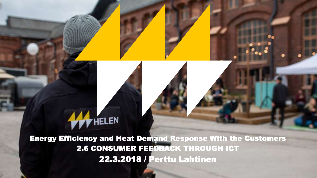#### Energy Efficiency and Heat Demand Response With the Customers 2.6 CONSUMER FEEDBACK THROUGH ICT 22.3.2018 / Perttu Lahtinen

**WELEN** 

1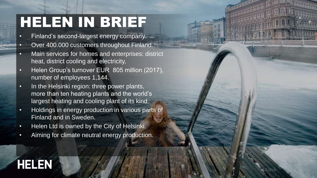## HELEN IN BRIEF

- Finland's second-largest energy company.
- Over 400.000 customers throughout Finland.
- Main services for homes and enterprises: district heat, district cooling and electricity,
- Helen Group's turnover EUR 805 million (2017), number of employees 1,144.
- In the Helsinki region: three power plants, more than ten heating plants and the world's largest heating and cooling plant of its kind.
- Holdings in energy production in various parts of Finland and in Sweden.

22.3.2018 2

- Helen Ltd is owned by the City of Helsinki.
- Aiming for climate neutral energy production.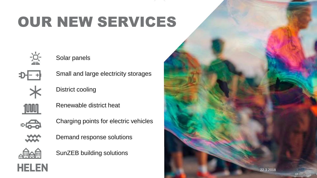# OUR NEW SERVICES



Solar panels



Small and large electricity storages



District cooling



Renewable district heat



Charging points for electric vehicles



Demand response solutions



**HELEN** 

SunZEB building solutions

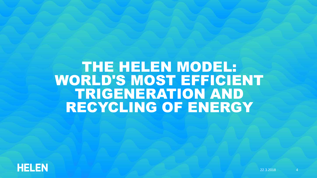#### THE HELEN MODEL: WORLD'S MOST EFFICIENT TRIGENERATION AND RECYCLING OF ENERGY

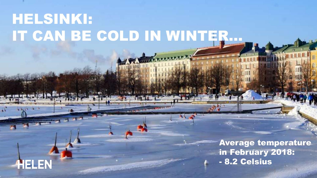## HELSINKI: IT CAN BE COLD IN WINTER…

HELEN

Average temperature in February 2018: - 8.2 Celsius

22.3.2018 5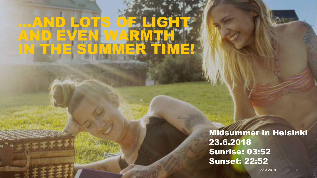## …AND LOTS OF LIGHT AND EVEN WARMTH IN THE SUMMER TIME!

Midsummer in Helsinki 23.6.2018 Sunrise: 03:52 Sunset: 22:52

22.3.2018 6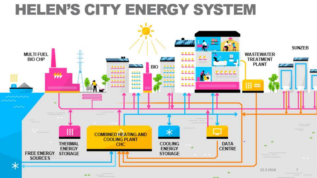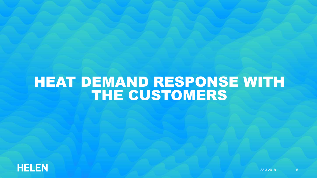#### HEAT DEMAND RESPONSE WITH THE CUSTOMERS

![](_page_7_Picture_1.jpeg)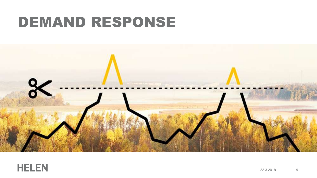## DEMAND RESPONSE

![](_page_8_Picture_1.jpeg)

![](_page_8_Picture_2.jpeg)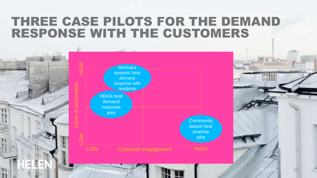#### THREE CASE PILOTS FOR THE DEMAND RESPONSE WITH THE CUSTOMERS

![](_page_9_Figure_1.jpeg)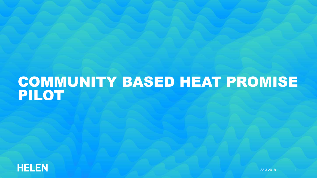#### COMMUNITY BASED HEAT PROMISE PILOT

![](_page_10_Picture_1.jpeg)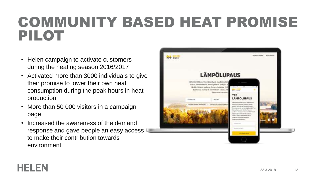#### COMMUNITY BASED HEAT PROMISE PILOT

- Helen campaign to activate customers during the heating season 2016/2017
- Activated more than 3000 individuals to give their promise to lower their own heat consumption during the peak hours in heat production
- More than 50 000 visitors in a campaign page
- Increased the awareness of the demand response and gave people an easy access to make their contribution towards environment

![](_page_11_Picture_5.jpeg)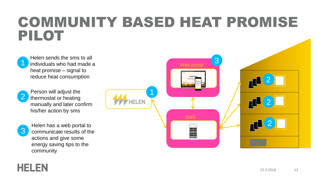#### COMMUNITY BASED HEAT PROMISE PILOT

Helen sends the sms to all individuals who had made a heat promise – signal to reduce heat consumption

![](_page_12_Picture_2.jpeg)

1

Person will adjust the thermostat or heating manually and later confirm his/her action by sms

![](_page_12_Picture_4.jpeg)

**HELEN** 

Helen has a web portal to 2 communicate results of the actions and give some energy saving tips to the community

![](_page_12_Picture_6.jpeg)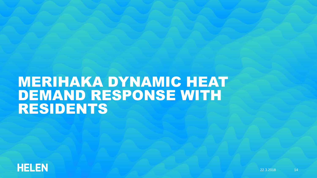#### MERIHAKA DYNAMIC HEAT DEMAND RESPONSE WITH RESIDENTS

![](_page_13_Picture_1.jpeg)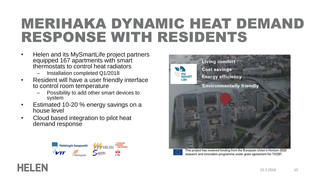### MERIHAKA DYNAMIC HEAT DEMAND RESPONSE WITH RESIDENTS

- Helen and its MySmartLife project partners equipped 167 apartments with smart thermostats to control heat radiators
	- Installation completed Q1/2018
- Resident will have a user friendly interface to control room temperature
	- Possibility to add other smart devices to system
- Estimated 10-20 % energy savings on a house level
- Cloud based integration to pilot heat demand response

HELEN

![](_page_14_Picture_7.jpeg)

![](_page_14_Picture_8.jpeg)

![](_page_14_Picture_9.jpeg)

This project has received funding from the European Union's Horizon 2020 research and innovation programme under grant agreement No 731297.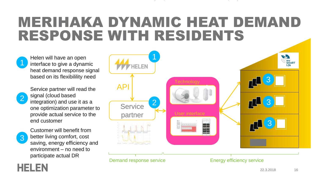#### MERIHAKA DYNAMIC HEAT DEMAND RESPONSE WITH RESIDENTS

Helen will have an open interface to give a dynamic heat demand response signal based on its flexibilility need

![](_page_15_Figure_2.jpeg)

1

Service partner will read the signal (cloud based

integration) and use it as a one optimization parameter to provide actual service to the end customer

![](_page_15_Picture_5.jpeg)

HELEN

Customer will benefit from better living comfort, cost saving, energy efficiency and environment – no need to participate actual DR

![](_page_15_Figure_7.jpeg)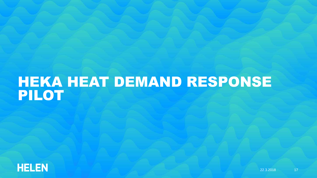#### HEKA HEAT DEMAND RESPONSE PILOT

![](_page_16_Picture_1.jpeg)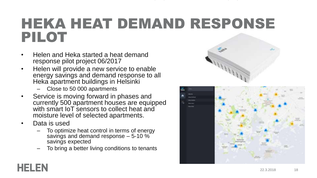#### HEKA HEAT DEMAND RESPONSE PILOT

- Helen and Heka started a heat demand response pilot project 06/2017
- Helen will provide a new service to enable energy savings and demand response to all Heka apartment buildings in Helsinki
	- Close to 50 000 apartments
- Service is moving forward in phases and currently 500 apartment houses are equipped with smart IoT sensors to collect heat and moisture level of selected apartments.
- Data is used

- To optimize heat control in terms of energy savings and demand response  $-5$ -10  $\%$ savings expected
- To bring a better living conditions to tenants

![](_page_17_Picture_8.jpeg)

![](_page_17_Figure_9.jpeg)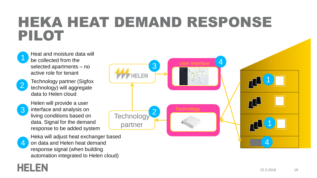#### HEKA HEAT DEMAND RESPONSE PILOT

![](_page_18_Picture_1.jpeg)

2 Technology partner (Sigfox technology) will aggregate data to Helen cloud

3

HELEN

Helen will provide a user interface and analysis on living conditions based on data. Signal for the demand response to be added system

**4** on data and Helen heat demand Heka will adjust heat exchanger based response signal (when building automation integrated to Helen cloud)

![](_page_18_Figure_6.jpeg)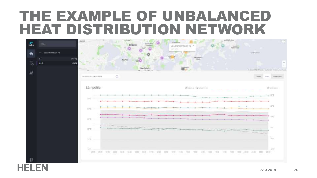#### THE EXAMPLE OF UNBALANCED HEAT DISTRIBUTION NETWORK

![](_page_19_Figure_1.jpeg)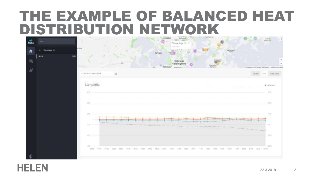#### THE EXAMPLE OF BALANCED HEAT DISTRIBUTION NETWORK

![](_page_20_Figure_1.jpeg)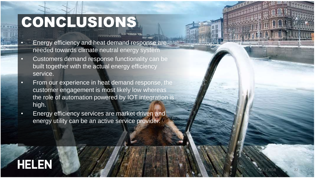# CONCLUSIONS

- Energy efficiency and heat demand response are needed towards climate neutral energy system
- Customers demand response functionality can be built together with the actual energy efficiency service.
- From our experience in heat demand response, the customer engagement is most likely low whereas the role of automation powered by IOT integration is high.
- Energy efficiency services are market driven and energy utility can be an active service provider.